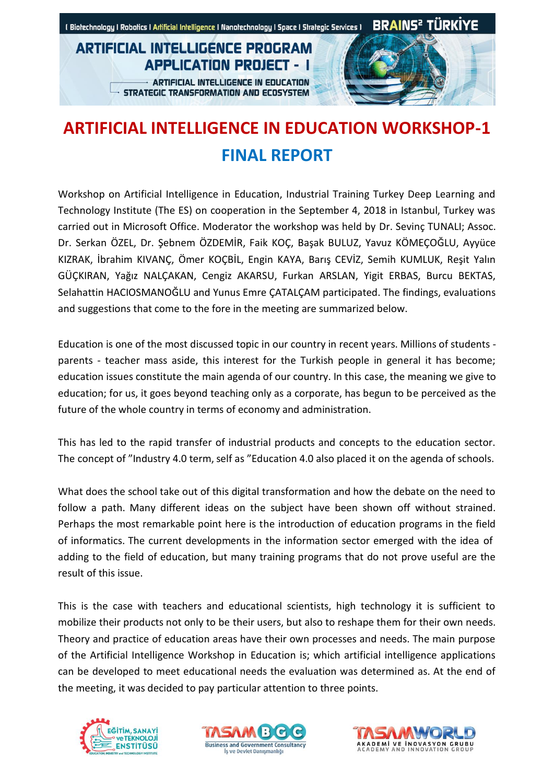### **ARTIFICIAL INTELLIGÉNCE PROGRAM APPLICATION PROJECT - I**

**ARTIFICIAL INTELLIGENCE IN EDUCATION** STRATEGIC TRANSFORMATION AND ECOSYSTEM



# **ARTIFICIAL INTELLIGENCE IN EDUCATION WORKSHOP-1 FINAL REPORT**

Workshop on Artificial Intelligence in Education, Industrial Training Turkey Deep Learning and Technology Institute (The ES) on cooperation in the September 4, 2018 in Istanbul, Turkey was carried out in Microsoft Office. Moderator the workshop was held by Dr. Sevinç TUNALI; Assoc. Dr. Serkan ÖZEL, Dr. Şebnem ÖZDEMİR, Faik KOÇ, Başak BULUZ, Yavuz KÖMEÇOĞLU, Ayyüce KIZRAK, İbrahim KIVANÇ, Ömer KOÇBİL, Engin KAYA, Barış CEVİZ, Semih KUMLUK, Reşit Yalın GÜÇKIRAN, Yağız NALÇAKAN, Cengiz AKARSU, Furkan ARSLAN, Yigit ERBAS, Burcu BEKTAS, Selahattin HACIOSMANOĞLU and Yunus Emre ÇATALÇAM participated. The findings, evaluations and suggestions that come to the fore in the meeting are summarized below.

Education is one of the most discussed topic in our country in recent years. Millions of students parents - teacher mass aside, this interest for the Turkish people in general it has become; education issues constitute the main agenda of our country. In this case, the meaning we give to education; for us, it goes beyond teaching only as a corporate, has begun to be perceived as the future of the whole country in terms of economy and administration.

This has led to the rapid transfer of industrial products and concepts to the education sector. The concept of "Industry 4.0 term, self as "Education 4.0 also placed it on the agenda of schools.

What does the school take out of this digital transformation and how the debate on the need to follow a path. Many different ideas on the subject have been shown off without strained. Perhaps the most remarkable point here is the introduction of education programs in the field of informatics. The current developments in the information sector emerged with the idea of adding to the field of education, but many training programs that do not prove useful are the result of this issue.

This is the case with teachers and educational scientists, high technology it is sufficient to mobilize their products not only to be their users, but also to reshape them for their own needs. Theory and practice of education areas have their own processes and needs. The main purpose of the Artificial Intelligence Workshop in Education is; which artificial intelligence applications can be developed to meet educational needs the evaluation was determined as. At the end of the meeting, it was decided to pay particular attention to three points.





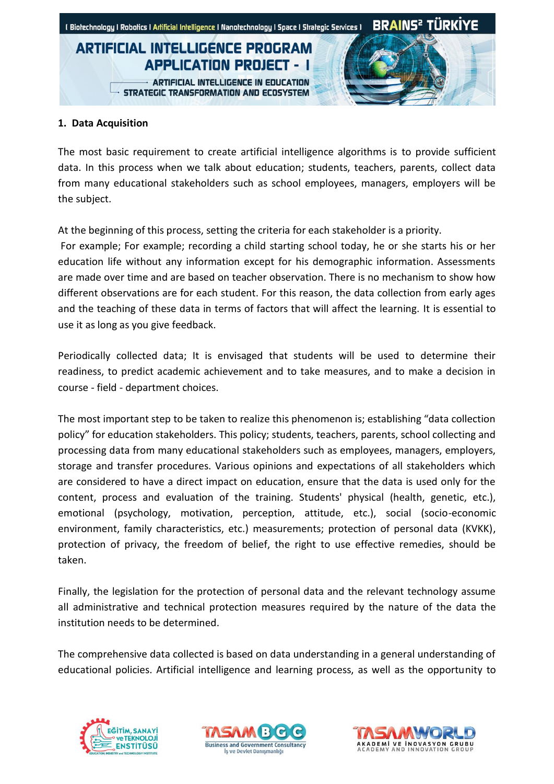## **ARTIFICIAL INTELLIGÉNCE PROGRAM APPLICATION PROJECT - I**

**ARTIFICIAL INTELLIGENCE IN EDUCATION** STRATEGIC TRANSFORMATION AND ECOSYSTEM



#### **1. Data Acquisition**

The most basic requirement to create artificial intelligence algorithms is to provide sufficient data. In this process when we talk about education; students, teachers, parents, collect data from many educational stakeholders such as school employees, managers, employers will be the subject.

At the beginning of this process, setting the criteria for each stakeholder is a priority.

For example; For example; recording a child starting school today, he or she starts his or her education life without any information except for his demographic information. Assessments are made over time and are based on teacher observation. There is no mechanism to show how different observations are for each student. For this reason, the data collection from early ages and the teaching of these data in terms of factors that will affect the learning. It is essential to use it as long as you give feedback.

Periodically collected data; It is envisaged that students will be used to determine their readiness, to predict academic achievement and to take measures, and to make a decision in course - field - department choices.

The most important step to be taken to realize this phenomenon is; establishing "data collection policy" for education stakeholders. This policy; students, teachers, parents, school collecting and processing data from many educational stakeholders such as employees, managers, employers, storage and transfer procedures. Various opinions and expectations of all stakeholders which are considered to have a direct impact on education, ensure that the data is used only for the content, process and evaluation of the training. Students' physical (health, genetic, etc.), emotional (psychology, motivation, perception, attitude, etc.), social (socio-economic environment, family characteristics, etc.) measurements; protection of personal data (KVKK), protection of privacy, the freedom of belief, the right to use effective remedies, should be taken.

Finally, the legislation for the protection of personal data and the relevant technology assume all administrative and technical protection measures required by the nature of the data the institution needs to be determined.

The comprehensive data collected is based on data understanding in a general understanding of educational policies. Artificial intelligence and learning process, as well as the opportunity to